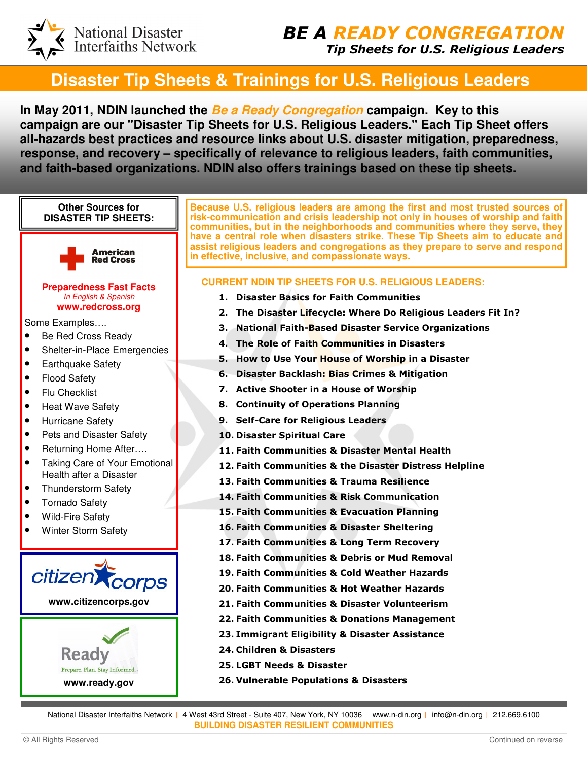National Disaster<br>Interfaiths Network

# **Disaster Tip Sheets & Trainings for U.S. Religious Leaders**

**In May 2011, NDIN launched the Be a Ready Congregation campaign. Key to this campaign are our "Disaster Tip Sheets for U.S. Religious Leaders." Each Tip Sheet offers all-hazards best practices and resource links about U.S. disaster mitigation, preparedness, response, and recovery – specifically of relevance to religious leaders, faith communities, and faith-based organizations. NDIN also offers trainings based on these tip sheets.** 



National Disaster Interfaiths Network | 4 West 43rd Street - Suite 407, New York, NY 10036 | www.n-din.org | info@n-din.org | 212.669.6100 **BUILDING DISASTER RESILIENT COMMUNITIES**